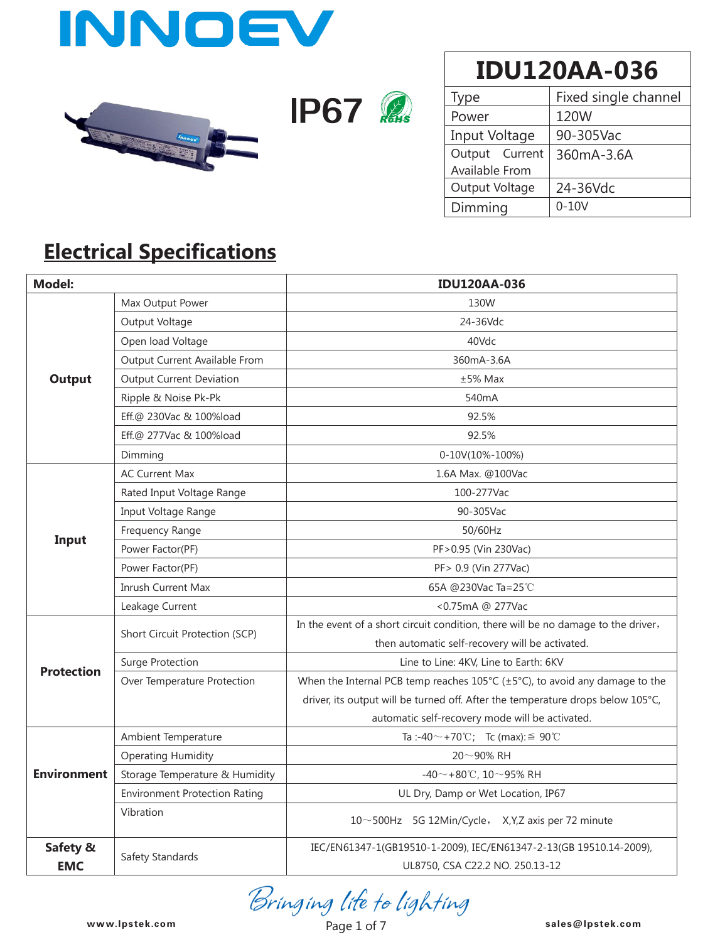





| Type           | Fixed single channel |  |  |
|----------------|----------------------|--|--|
| Power          | 120W                 |  |  |
| Input Voltage  | 90-305Vac            |  |  |
| Output Current | 360mA-3.6A           |  |  |
| Available From |                      |  |  |
| Output Voltage | 24-36Vdc             |  |  |
| Dimming        | $0 - 10V$            |  |  |

### **Electrical Specifications**

| <b>Model:</b>      |                                      | <b>IDU120AA-036</b>                                                                                |  |  |  |  |
|--------------------|--------------------------------------|----------------------------------------------------------------------------------------------------|--|--|--|--|
|                    | Max Output Power                     | 130W                                                                                               |  |  |  |  |
|                    | Output Voltage                       | 24-36Vdc                                                                                           |  |  |  |  |
|                    | Open load Voltage                    | 40Vdc                                                                                              |  |  |  |  |
|                    | Output Current Available From        | 360mA-3.6A                                                                                         |  |  |  |  |
| <b>Output</b>      | <b>Output Current Deviation</b>      | $±5%$ Max                                                                                          |  |  |  |  |
|                    | Ripple & Noise Pk-Pk                 | 540 <sub>m</sub> A                                                                                 |  |  |  |  |
|                    | Eff.@ 230Vac & 100%load              | 92.5%                                                                                              |  |  |  |  |
|                    | Eff.@ 277Vac & 100%load              | 92.5%                                                                                              |  |  |  |  |
|                    | Dimming                              | $0-10V(10\% - 100\%)$                                                                              |  |  |  |  |
|                    | <b>AC Current Max</b>                | 1.6A Max. @100Vac                                                                                  |  |  |  |  |
|                    | Rated Input Voltage Range            | 100-277Vac                                                                                         |  |  |  |  |
|                    | Input Voltage Range                  | 90-305Vac                                                                                          |  |  |  |  |
|                    | Frequency Range                      | 50/60Hz                                                                                            |  |  |  |  |
| Input              | Power Factor(PF)                     | PF>0.95 (Vin 230Vac)                                                                               |  |  |  |  |
|                    | Power Factor(PF)                     | PF> 0.9 (Vin 277Vac)                                                                               |  |  |  |  |
|                    | <b>Inrush Current Max</b>            | 65A @230Vac Ta=25℃                                                                                 |  |  |  |  |
|                    | Leakage Current                      | <0.75mA @ 277Vac                                                                                   |  |  |  |  |
|                    | Short Circuit Protection (SCP)       | In the event of a short circuit condition, there will be no damage to the driver,                  |  |  |  |  |
|                    |                                      | then automatic self-recovery will be activated.                                                    |  |  |  |  |
| <b>Protection</b>  | Surge Protection                     | Line to Line: 4KV, Line to Earth: 6KV                                                              |  |  |  |  |
|                    | Over Temperature Protection          | When the Internal PCB temp reaches $105^{\circ}C$ ( $\pm 5^{\circ}C$ ), to avoid any damage to the |  |  |  |  |
|                    |                                      | driver, its output will be turned off. After the temperature drops below 105°C,                    |  |  |  |  |
|                    |                                      | automatic self-recovery mode will be activated.                                                    |  |  |  |  |
|                    | Ambient Temperature                  | Ta :-40 $\sim$ +70 °C; Tc (max): $\leq$ 90 °C                                                      |  |  |  |  |
| <b>Environment</b> | <b>Operating Humidity</b>            | $20 - 90\%$ RH                                                                                     |  |  |  |  |
|                    | Storage Temperature & Humidity       | -40~+80℃, 10~95% RH                                                                                |  |  |  |  |
|                    | <b>Environment Protection Rating</b> | UL Dry, Damp or Wet Location, IP67                                                                 |  |  |  |  |
|                    | Vibration                            | $10 \sim 500$ Hz 5G 12Min/Cycle, X,Y,Z axis per 72 minute                                          |  |  |  |  |
| Safety &           |                                      | IEC/EN61347-1(GB19510-1-2009), IEC/EN61347-2-13(GB 19510.14-2009),                                 |  |  |  |  |
| <b>EMC</b>         | Safety Standards                     | UL8750, CSA C22.2 NO. 250.13-12                                                                    |  |  |  |  |

**www.lpstek.com sales@lpstek.com**

www.lpstek.com Page 1 of 7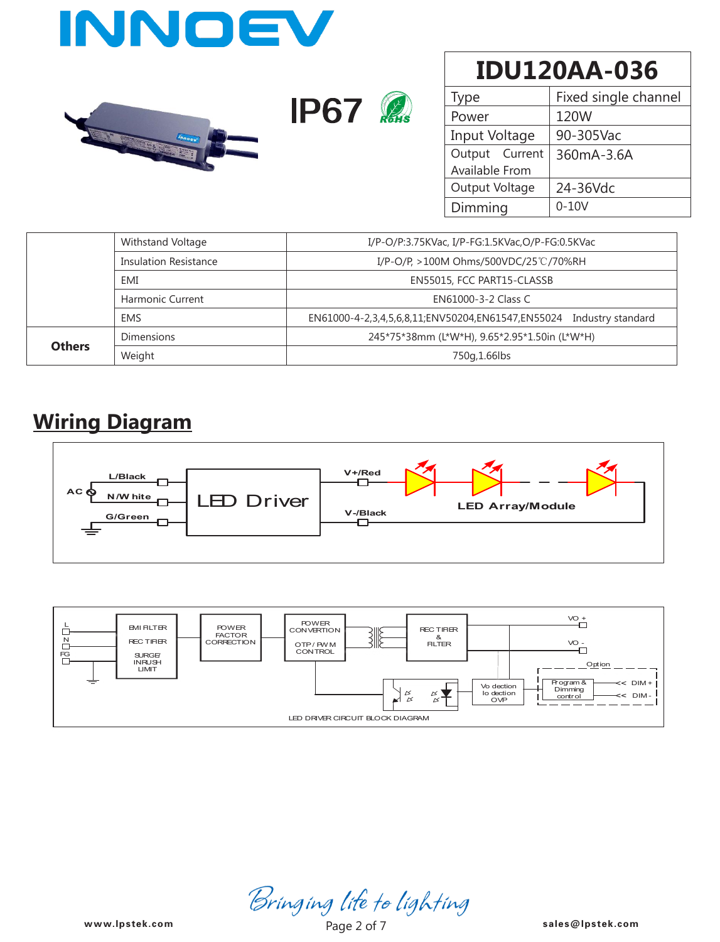



| Type           | Fixed single channel |  |  |  |
|----------------|----------------------|--|--|--|
| Power          | 120W                 |  |  |  |
| Input Voltage  | 90-305Vac            |  |  |  |
| Output Current | 360mA-3.6A           |  |  |  |
| Available From |                      |  |  |  |
| Output Voltage | 24-36Vdc             |  |  |  |
| Dimming        | $0-10V$              |  |  |  |

|               | Withstand Voltage                 | I/P-O/P:3.75KVac, I/P-FG:1.5KVac,O/P-FG:0.5KVac                     |  |  |  |  |
|---------------|-----------------------------------|---------------------------------------------------------------------|--|--|--|--|
|               | <b>Insulation Resistance</b>      | I/P-O/P, >100M Ohms/500VDC/25℃/70%RH                                |  |  |  |  |
|               | EMI<br>EN55015, FCC PART15-CLASSB |                                                                     |  |  |  |  |
|               | <b>Harmonic Current</b>           | EN61000-3-2 Class C                                                 |  |  |  |  |
|               | <b>EMS</b>                        | EN61000-4-2,3,4,5,6,8,11;ENV50204,EN61547,EN55024 Industry standard |  |  |  |  |
| <b>Others</b> | <b>Dimensions</b>                 | 245*75*38mm (L*W*H), 9.65*2.95*1.50in (L*W*H)                       |  |  |  |  |
|               | Weight                            | 750g, 1.66lbs                                                       |  |  |  |  |

#### **Wiring Diagram**

**STATISTICS** 





Bringing life to lighting<br><sup>Page 2</sup> of 7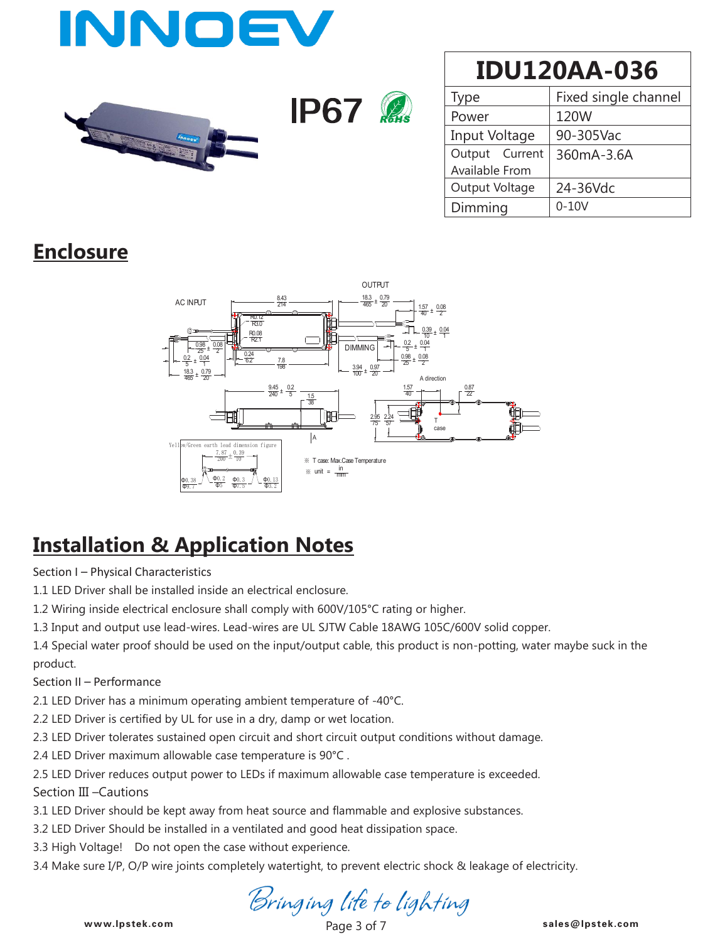



| Type           | Fixed single channel |  |  |
|----------------|----------------------|--|--|
| Power          | 120W                 |  |  |
| Input Voltage  | 90-305Vac            |  |  |
| Output Current | 360mA-3.6A           |  |  |
| Available From |                      |  |  |
| Output Voltage | 24-36Vdc             |  |  |
| Dimming        | $0-10V$              |  |  |

### **Enclosure**



### **Installation & Application Notes**

Section I – Physical Characteristics

1.1 LED Driver shall be installed inside an electrical enclosure.

1.2 Wiring inside electrical enclosure shall comply with 600V/105°C rating or higher.

1.3 Input and output use lead-wires. Lead-wires are UL SJTW Cable 18AWG 105C/600V solid copper.

1.4 Special water proof should be used on the input/output cable, this product is non-potting, water maybe suck in the product.

Section II – Performance

2.1 LED Driver has a minimum operating ambient temperature of -40°C.

2.2 LED Driver is certified by UL for use in a dry, damp or wet location.

2.3 LED Driver tolerates sustained open circuit and short circuit output conditions without damage.

2.4 LED Driver maximum allowable case temperature is 90°C .

2.5 LED Driver reduces output power to LEDs if maximum allowable case temperature is exceeded.

Section III –Cautions

3.1 LED Driver should be kept away from heat source and flammable and explosive substances.

3.2 LED Driver Should be installed in a ventilated and good heat dissipation space.

3.3 High Voltage! Do not open the case without experience.

3.4 Make sure I/P, O/P wire joints completely watertight, to prevent electric shock & leakage of electricity.

Bringing life to lighting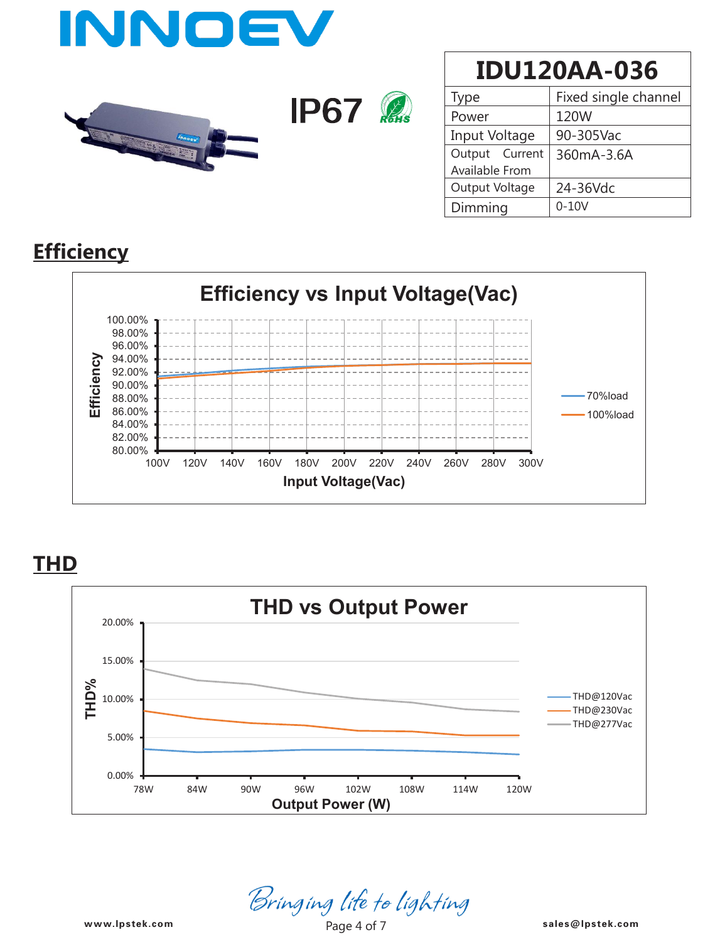

| Type           | Fixed single channel |  |  |  |
|----------------|----------------------|--|--|--|
| Power          | 120W                 |  |  |  |
| Input Voltage  | 90-305Vac            |  |  |  |
| Output Current | 360mA-3.6A           |  |  |  |
| Available From |                      |  |  |  |
| Output Voltage | 24-36Vdc             |  |  |  |
| Dimming        | $0 - 10V$            |  |  |  |

#### **Efficiency**



**THD**



Bringing life to lighting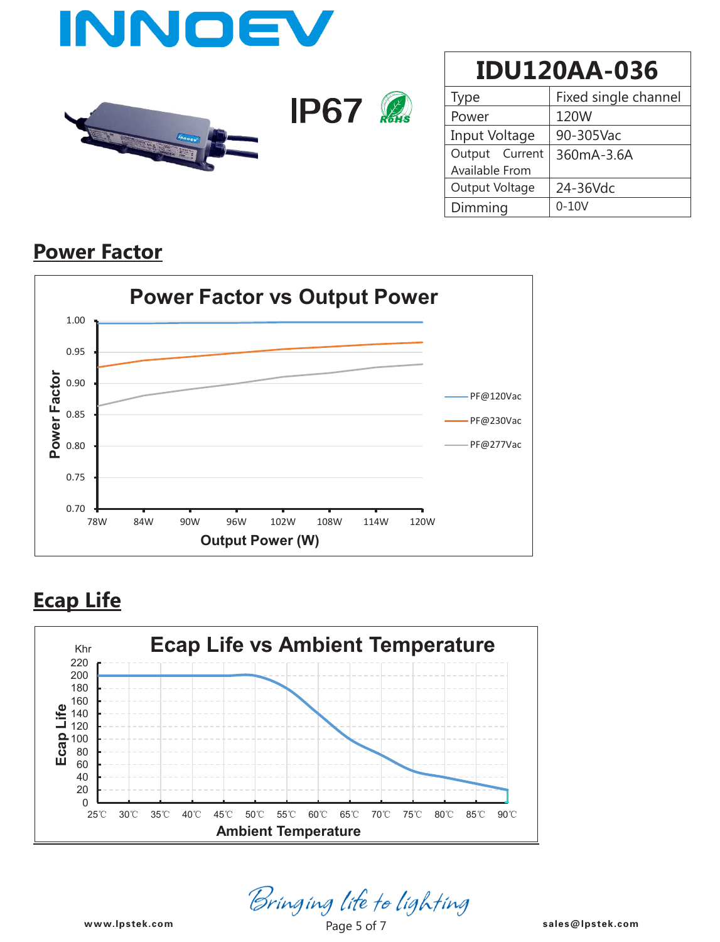



| Type           | Fixed single channel |  |  |
|----------------|----------------------|--|--|
| Power          | 120W                 |  |  |
| Input Voltage  | 90-305Vac            |  |  |
| Output Current | 360mA-3.6A           |  |  |
| Available From |                      |  |  |
| Output Voltage | 24-36Vdc             |  |  |
| Dimming        | $0 - 10V$            |  |  |

#### **Power Factor**



### **Ecap Life**



*Bringing life to lighting*<br><sup>Page 5 of 7</sub> sales@lpstek.com</sup>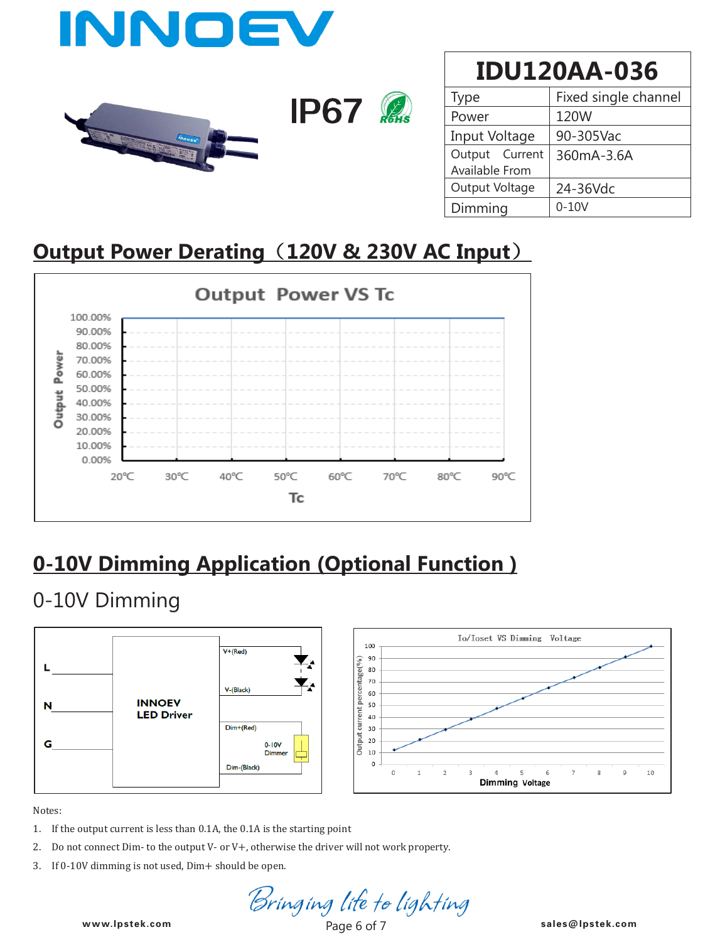

| ype            | Fixed single channel |  |  |
|----------------|----------------------|--|--|
| Power          | 120W                 |  |  |
| Input Voltage  | 90-305Vac            |  |  |
| Output Current | 360mA-3.6A           |  |  |
| Available From |                      |  |  |
| Output Voltage | 24-36Vdc             |  |  |
| Dimming        | $0-10V$              |  |  |

### **Output Power Derating**(**120V & 230V AC Input**)



# **0-10V Dimming Application (Optional Function )**

### 0-10V Dimming



Notes:

- 1. If the output current is less than 0.1A, the 0.1A is the starting point
- 2. Do not connect Dim- to the output V- or V+, otherwise the driver will not work property.
- 3. If 0-10V dimming is not used, Dim+ should be open.

**www.lpstek.com sales@lpstek.com**

www.lpstek.com Page 6 of 7